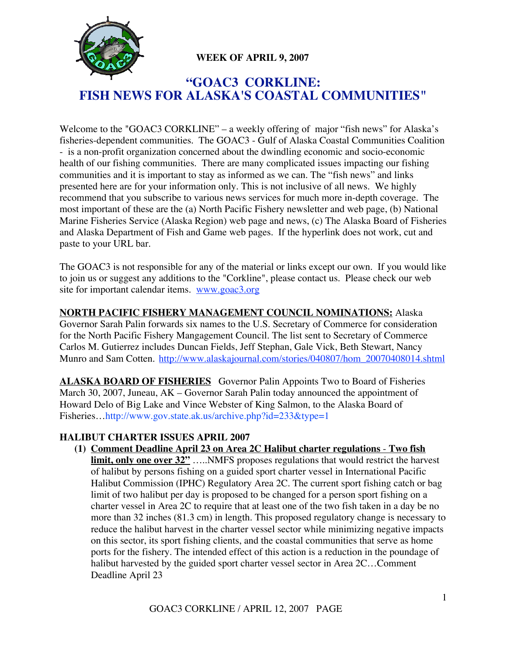

### **WEEK OF APRIL 9, 2007**

# **"GOAC3 CORKLINE: FISH NEWS FOR ALASKA'S COASTAL COMMUNITIES"**

Welcome to the "GOAC3 CORKLINE" – a weekly offering of major "fish news" for Alaska's fisheries-dependent communities. The GOAC3 - Gulf of Alaska Coastal Communities Coalition - is a non-profit organization concerned about the dwindling economic and socio-economic health of our fishing communities. There are many complicated issues impacting our fishing communities and it is important to stay as informed as we can. The "fish news" and links presented here are for your information only. This is not inclusive of all news. We highly recommend that you subscribe to various news services for much more in-depth coverage. The most important of these are the (a) North Pacific Fishery newsletter and web page, (b) National Marine Fisheries Service (Alaska Region) web page and news, (c) The Alaska Board of Fisheries and Alaska Department of Fish and Game web pages. If the hyperlink does not work, cut and paste to your URL bar.

The GOAC3 is not responsible for any of the material or links except our own. If you would like to join us or suggest any additions to the "Corkline", please contact us. Please check our web site for important calendar items. www.goac3.org

**NORTH PACIFIC FISHERY MANAGEMENT COUNCIL NOMINATIONS:** Alaska Governor Sarah Palin forwards six names to the U.S. Secretary of Commerce for consideration for the North Pacific Fishery Mangagement Council. The list sent to Secretary of Commerce Carlos M. Gutierrez includes Duncan Fields, Jeff Stephan, Gale Vick, Beth Stewart, Nancy Munro and Sam Cotten. http://www.alaskajournal.com/stories/040807/hom\_20070408014.shtml

**ALASKA BOARD OF FISHERIES** Governor Palin Appoints Two to Board of Fisheries March 30, 2007, Juneau, AK – Governor Sarah Palin today announced the appointment of Howard Delo of Big Lake and Vince Webster of King Salmon, to the Alaska Board of Fisheries…http://www.gov.state.ak.us/archive.php?id=233&type=1

#### **HALIBUT CHARTER ISSUES APRIL 2007**

**(1) Comment Deadline April 23 on Area 2C Halibut charter regulations** - **Two fish limit, only one over 32"** ..... NMFS proposes regulations that would restrict the harvest of halibut by persons fishing on a guided sport charter vessel in International Pacific Halibut Commission (IPHC) Regulatory Area 2C. The current sport fishing catch or bag limit of two halibut per day is proposed to be changed for a person sport fishing on a charter vessel in Area 2C to require that at least one of the two fish taken in a day be no more than 32 inches (81.3 cm) in length. This proposed regulatory change is necessary to reduce the halibut harvest in the charter vessel sector while minimizing negative impacts on this sector, its sport fishing clients, and the coastal communities that serve as home ports for the fishery. The intended effect of this action is a reduction in the poundage of halibut harvested by the guided sport charter vessel sector in Area 2C…Comment Deadline April 23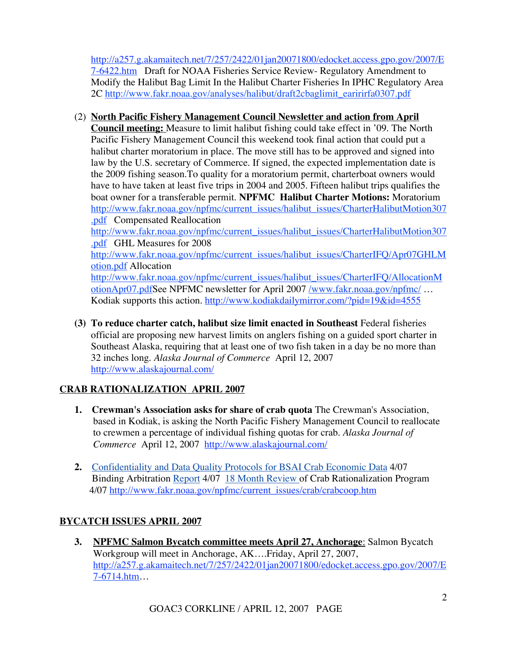http://a257.g.akamaitech.net/7/257/2422/01jan20071800/edocket.access.gpo.gov/2007/E 7-6422.htm Draft for NOAA Fisheries Service Review- Regulatory Amendment to Modify the Halibut Bag Limit In the Halibut Charter Fisheries In IPHC Regulatory Area 2C http://www.fakr.noaa.gov/analyses/halibut/draft2cbaglimit\_earirirfa0307.pdf

### (2) **North Pacific Fishery Management Council Newsletter and action from April Council meeting:** Measure to limit halibut fishing could take effect in '09. The North Pacific Fishery Management Council this weekend took final action that could put a halibut charter moratorium in place. The move still has to be approved and signed into law by the U.S. secretary of Commerce. If signed, the expected implementation date is the 2009 fishing season.To quality for a moratorium permit, charterboat owners would have to have taken at least five trips in 2004 and 2005. Fifteen halibut trips qualifies the boat owner for a transferable permit. **NPFMC Halibut Charter Motions:** Moratorium http://www.fakr.noaa.gov/npfmc/current\_issues/halibut\_issues/CharterHalibutMotion307 .pdf Compensated Reallocation

http://www.fakr.noaa.gov/npfmc/current\_issues/halibut\_issues/CharterHalibutMotion307 .pdf GHL Measures for 2008 http://www.fakr.noaa.gov/npfmc/current\_issues/halibut\_issues/CharterIFQ/Apr07GHLM

otion.pdf Allocation http://www.fakr.noaa.gov/npfmc/current\_issues/halibut\_issues/CharterIFQ/AllocationM otionApr07.pdfSee NPFMC newsletter for April 2007 /www.fakr.noaa.gov/npfmc/ …

Kodiak supports this action. http://www.kodiakdailymirror.com/?pid=19&id=4555

**(3) To reduce charter catch, halibut size limit enacted in Southeast** Federal fisheries official are proposing new harvest limits on anglers fishing on a guided sport charter in Southeast Alaska, requiring that at least one of two fish taken in a day be no more than 32 inches long. *Alaska Journal of Commerce* April 12, 2007 http://www.alaskajournal.com/

## **CRAB RATIONALIZATION APRIL 2007**

- **1. Crewman's Association asks for share of crab quota** The Crewman's Association, based in Kodiak, is asking the North Pacific Fishery Management Council to reallocate to crewmen a percentage of individual fishing quotas for crab. *Alaska Journal of Commerce* April 12, 2007 http://www.alaskajournal.com/
- **2.** Confidentiality and Data Quality Protocols for BSAI Crab Economic Data 4/07 Binding Arbitration Report 4/07 18 Month Review of Crab Rationalization Program 4/07 http://www.fakr.noaa.gov/npfmc/current\_issues/crab/crabcoop.htm

## **BYCATCH ISSUES APRIL 2007**

**3. NPFMC Salmon Bycatch committee meets April 27, Anchorage**: Salmon Bycatch Workgroup will meet in Anchorage, AK….Friday, April 27, 2007, http://a257.g.akamaitech.net/7/257/2422/01jan20071800/edocket.access.gpo.gov/2007/E 7-6714.htm…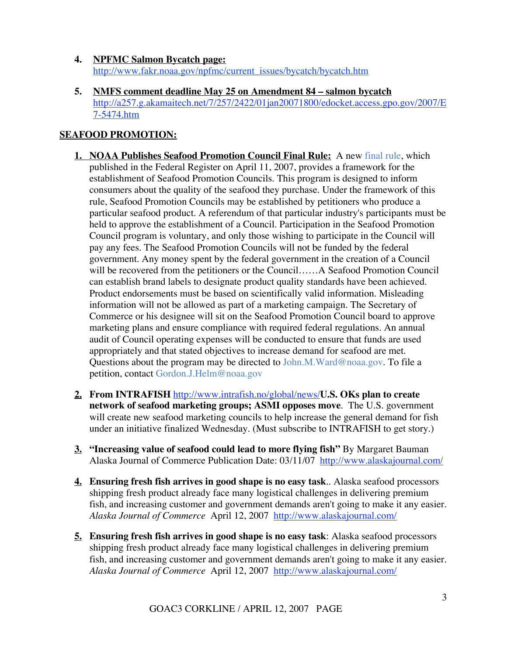#### **4. NPFMC Salmon Bycatch page:** http://www.fakr.noaa.gov/npfmc/current\_issues/bycatch/bycatch.htm

**5. NMFS comment deadline May 25 on Amendment 84 – salmon bycatch** http://a257.g.akamaitech.net/7/257/2422/01jan20071800/edocket.access.gpo.gov/2007/E 7-5474.htm

### **SEAFOOD PROMOTION:**

- **1. NOAA Publishes Seafood Promotion Council Final Rule:** A new final rule, which published in the Federal Register on April 11, 2007, provides a framework for the establishment of Seafood Promotion Councils. This program is designed to inform consumers about the quality of the seafood they purchase. Under the framework of this rule, Seafood Promotion Councils may be established by petitioners who produce a particular seafood product. A referendum of that particular industry's participants must be held to approve the establishment of a Council. Participation in the Seafood Promotion Council program is voluntary, and only those wishing to participate in the Council will pay any fees. The Seafood Promotion Councils will not be funded by the federal government. Any money spent by the federal government in the creation of a Council will be recovered from the petitioners or the Council……A Seafood Promotion Council can establish brand labels to designate product quality standards have been achieved. Product endorsements must be based on scientifically valid information. Misleading information will not be allowed as part of a marketing campaign. The Secretary of Commerce or his designee will sit on the Seafood Promotion Council board to approve marketing plans and ensure compliance with required federal regulations. An annual audit of Council operating expenses will be conducted to ensure that funds are used appropriately and that stated objectives to increase demand for seafood are met. Questions about the program may be directed to John.M.Ward@noaa.gov. To file a petition, contact Gordon.J.Helm@noaa.gov
- **2. From INTRAFISH** http://www.intrafish.no/global/news/**U.S. OKs plan to create network of seafood marketing groups; ASMI opposes move**. The U.S. government will create new seafood marketing councils to help increase the general demand for fish under an initiative finalized Wednesday. (Must subscribe to INTRAFISH to get story.)
- **3. "Increasing value of seafood could lead to more flying fish"** By Margaret Bauman Alaska Journal of Commerce Publication Date: 03/11/07 http://www.alaskajournal.com/
- **4. Ensuring fresh fish arrives in good shape is no easy task**.. Alaska seafood processors shipping fresh product already face many logistical challenges in delivering premium fish, and increasing customer and government demands aren't going to make it any easier. *Alaska Journal of Commerce* April 12, 2007 http://www.alaskajournal.com/
- **5. Ensuring fresh fish arrives in good shape is no easy task**: Alaska seafood processors shipping fresh product already face many logistical challenges in delivering premium fish, and increasing customer and government demands aren't going to make it any easier. *Alaska Journal of Commerce* April 12, 2007 http://www.alaskajournal.com/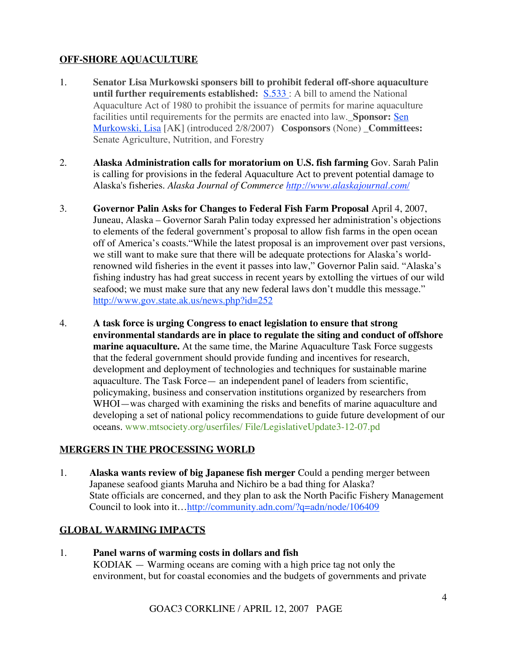### **OFF-SHORE AQUACULTURE**

- 1. **Senator Lisa Murkowski sponsers bill to prohibit federal off-shore aquaculture until further requirements established:** S.533 : A bill to amend the National Aquaculture Act of 1980 to prohibit the issuance of permits for marine aquaculture facilities until requirements for the permits are enacted into law.\_**Sponsor:** Sen Murkowski, Lisa [AK] (introduced 2/8/2007) **Cosponsors** (None) \_**Committees:** Senate Agriculture, Nutrition, and Forestry
- 2. **Alaska Administration calls for moratorium on U.S. fish farming** Gov. Sarah Palin is calling for provisions in the federal Aquaculture Act to prevent potential damage to Alaska's fisheries. *Alaska Journal of Commerce http://www.alaskajournal.com/*
- 3. **Governor Palin Asks for Changes to Federal Fish Farm Proposal** April 4, 2007, Juneau, Alaska – Governor Sarah Palin today expressed her administration's objections to elements of the federal government's proposal to allow fish farms in the open ocean off of America's coasts."While the latest proposal is an improvement over past versions, we still want to make sure that there will be adequate protections for Alaska's worldrenowned wild fisheries in the event it passes into law," Governor Palin said. "Alaska's fishing industry has had great success in recent years by extolling the virtues of our wild seafood; we must make sure that any new federal laws don't muddle this message." http://www.gov.state.ak.us/news.php?id=252
- 4. **A task force is urging Congress to enact legislation to ensure that strong environmental standards are in place to regulate the siting and conduct of offshore marine aquaculture.** At the same time, the Marine Aquaculture Task Force suggests that the federal government should provide funding and incentives for research, development and deployment of technologies and techniques for sustainable marine aquaculture. The Task Force— an independent panel of leaders from scientific, policymaking, business and conservation institutions organized by researchers from WHOI—was charged with examining the risks and benefits of marine aquaculture and developing a set of national policy recommendations to guide future development of our oceans. www.mtsociety.org/userfiles/ File/LegislativeUpdate3-12-07.pd

#### **MERGERS IN THE PROCESSING WORLD**

1. **Alaska wants review of big Japanese fish merger** Could a pending merger between Japanese seafood giants Maruha and Nichiro be a bad thing for Alaska? State officials are concerned, and they plan to ask the North Pacific Fishery Management Council to look into it…http://community.adn.com/?q=adn/node/106409

#### **GLOBAL WARMING IMPACTS**

1. **Panel warns of warming costs in dollars and fish** KODIAK — Warming oceans are coming with a high price tag not only the environment, but for coastal economies and the budgets of governments and private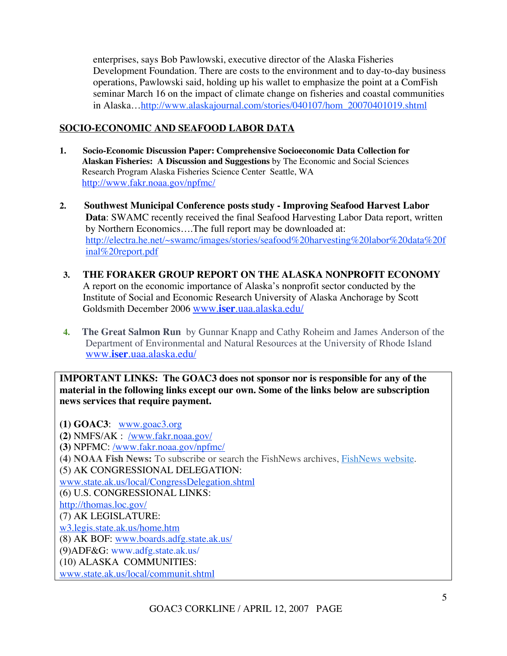enterprises, says Bob Pawlowski, executive director of the Alaska Fisheries Development Foundation. There are costs to the environment and to day-to-day business operations, Pawlowski said, holding up his wallet to emphasize the point at a ComFish seminar March 16 on the impact of climate change on fisheries and coastal communities in Alaska…http://www.alaskajournal.com/stories/040107/hom\_20070401019.shtml

#### **SOCIO-ECONOMIC AND SEAFOOD LABOR DATA**

- **1. Socio-Economic Discussion Paper: Comprehensive Socioeconomic Data Collection for Alaskan Fisheries: A Discussion and Suggestions** by The Economic and Social Sciences Research Program Alaska Fisheries Science Center Seattle, WA http://www.fakr.noaa.gov/npfmc/
- **2. Southwest Municipal Conference posts study Improving Seafood Harvest Labor Data:** SWAMC recently received the final Seafood Harvesting Labor Data report, written by Northern Economics….The full report may be downloaded at: http://electra.he.net/~swamc/images/stories/seafood%20harvesting%20labor%20data%20f inal%20report.pdf
- **3. THE FORAKER GROUP REPORT ON THE ALASKA NONPROFIT ECONOMY** A report on the economic importance of Alaska's nonprofit sector conducted by the Institute of Social and Economic Research University of Alaska Anchorage by Scott Goldsmith December 2006 www.**iser**.uaa.alaska.edu/
- **4. The Great Salmon Run** by Gunnar Knapp and Cathy Roheim and James Anderson of the Department of Environmental and Natural Resources at the University of Rhode Island www.**iser**.uaa.alaska.edu/

**IMPORTANT LINKS: The GOAC3 does not sponsor nor is responsible for any of the material in the following links except our own. Some of the links below are subscription news services that require payment.**

**(1) GOAC3**: www.goac3.org **(2)** NMFS/AK : /www.fakr.noaa.gov/ **(3)** NPFMC: /www.fakr.noaa.gov/npfmc/ **(4) NOAA Fish News:** To subscribe or search the FishNews archives, FishNews website. (5) AK CONGRESSIONAL DELEGATION: www.state.ak.us/local/CongressDelegation.shtml (6) U.S. CONGRESSIONAL LINKS: http://thomas.loc.gov/ (7) AK LEGISLATURE: w3.legis.state.ak.us/home.htm (8) AK BOF: www.boards.adfg.state.ak.us/ (9)ADF&G: www.adfg.state.ak.us/ (10) ALASKA COMMUNITIES: www.state.ak.us/local/communit.shtml